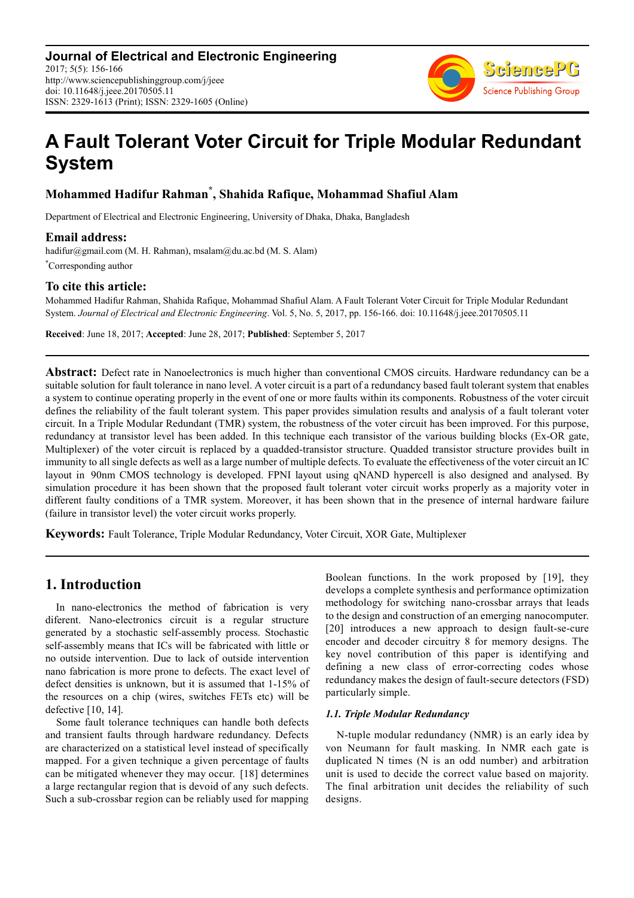

# **A Fault Tolerant Voter Circuit for Triple Modular Redundant System**

# **Mohammed Hadifur Rahman\* , Shahida Rafique, Mohammad Shafiul Alam**

Department of Electrical and Electronic Engineering, University of Dhaka, Dhaka, Bangladesh

### **Email address:**

hadifur@gmail.com (M. H. Rahman), msalam@du.ac.bd (M. S. Alam) \*Corresponding author

### **To cite this article:**

Mohammed Hadifur Rahman, Shahida Rafique, Mohammad Shafiul Alam. A Fault Tolerant Voter Circuit for Triple Modular Redundant System. *Journal of Electrical and Electronic Engineering*. Vol. 5, No. 5, 2017, pp. 156-166. doi: 10.11648/j.jeee.20170505.11

**Received**: June 18, 2017; **Accepted**: June 28, 2017; **Published**: September 5, 2017

**Abstract:** Defect rate in Nanoelectronics is much higher than conventional CMOS circuits. Hardware redundancy can be a suitable solution for fault tolerance in nano level. A voter circuit is a part of a redundancy based fault tolerant system that enables a system to continue operating properly in the event of one or more faults within its components. Robustness of the voter circuit defines the reliability of the fault tolerant system. This paper provides simulation results and analysis of a fault tolerant voter circuit. In a Triple Modular Redundant (TMR) system, the robustness of the voter circuit has been improved. For this purpose, redundancy at transistor level has been added. In this technique each transistor of the various building blocks (Ex-OR gate, Multiplexer) of the voter circuit is replaced by a quadded-transistor structure. Quadded transistor structure provides built in immunity to all single defects as well as a large number of multiple defects. To evaluate the effectiveness of the voter circuit an IC layout in 90nm CMOS technology is developed. FPNI layout using qNAND hypercell is also designed and analysed. By simulation procedure it has been shown that the proposed fault tolerant voter circuit works properly as a majority voter in different faulty conditions of a TMR system. Moreover, it has been shown that in the presence of internal hardware failure (failure in transistor level) the voter circuit works properly.

**Keywords:** Fault Tolerance, Triple Modular Redundancy, Voter Circuit, XOR Gate, Multiplexer

## **1. Introduction**

In nano-electronics the method of fabrication is very diferent. Nano-electronics circuit is a regular structure generated by a stochastic self-assembly process. Stochastic self-assembly means that ICs will be fabricated with little or no outside intervention. Due to lack of outside intervention nano fabrication is more prone to defects. The exact level of defect densities is unknown, but it is assumed that 1-15% of the resources on a chip (wires, switches FETs etc) will be defective [10, 14].

Some fault tolerance techniques can handle both defects and transient faults through hardware redundancy. Defects are characterized on a statistical level instead of specifically mapped. For a given technique a given percentage of faults can be mitigated whenever they may occur. [18] determines a large rectangular region that is devoid of any such defects. Such a sub-crossbar region can be reliably used for mapping Boolean functions. In the work proposed by [19], they develops a complete synthesis and performance optimization methodology for switching nano-crossbar arrays that leads to the design and construction of an emerging nanocomputer. [20] introduces a new approach to design fault-se-cure encoder and decoder circuitry 8 for memory designs. The key novel contribution of this paper is identifying and defining a new class of error-correcting codes whose redundancy makes the design of fault-secure detectors (FSD) particularly simple.

### *1.1. Triple Modular Redundancy*

N-tuple modular redundancy (NMR) is an early idea by von Neumann for fault masking. In NMR each gate is duplicated N times (N is an odd number) and arbitration unit is used to decide the correct value based on majority. The final arbitration unit decides the reliability of such designs.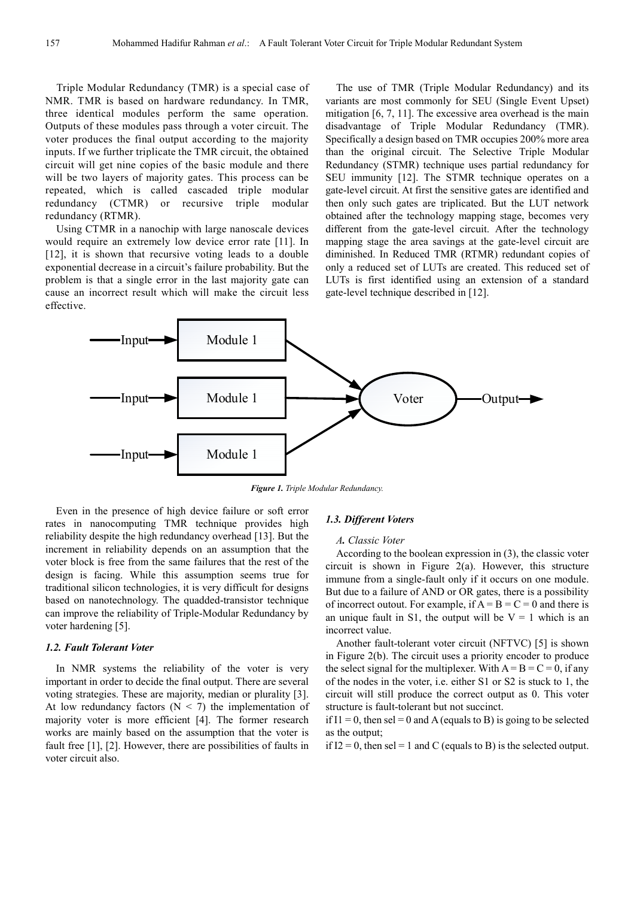Triple Modular Redundancy (TMR) is a special case of NMR. TMR is based on hardware redundancy. In TMR, three identical modules perform the same operation. Outputs of these modules pass through a voter circuit. The voter produces the final output according to the majority inputs. If we further triplicate the TMR circuit, the obtained circuit will get nine copies of the basic module and there will be two layers of majority gates. This process can be repeated, which is called cascaded triple modular redundancy (CTMR) or recursive triple modular redundancy (RTMR).

Using CTMR in a nanochip with large nanoscale devices would require an extremely low device error rate [11]. In [12], it is shown that recursive voting leads to a double exponential decrease in a circuit's failure probability. But the problem is that a single error in the last majority gate can cause an incorrect result which will make the circuit less effective.

The use of TMR (Triple Modular Redundancy) and its variants are most commonly for SEU (Single Event Upset) mitigation [6, 7, 11]. The excessive area overhead is the main disadvantage of Triple Modular Redundancy (TMR). Specifically a design based on TMR occupies 200% more area than the original circuit. The Selective Triple Modular Redundancy (STMR) technique uses partial redundancy for SEU immunity [12]. The STMR technique operates on a gate-level circuit. At first the sensitive gates are identified and then only such gates are triplicated. But the LUT network obtained after the technology mapping stage, becomes very different from the gate-level circuit. After the technology mapping stage the area savings at the gate-level circuit are diminished. In Reduced TMR (RTMR) redundant copies of only a reduced set of LUTs are created. This reduced set of LUTs is first identified using an extension of a standard gate-level technique described in [12].



*Figure 1. Triple Modular Redundancy.* 

Even in the presence of high device failure or soft error rates in nanocomputing TMR technique provides high reliability despite the high redundancy overhead [13]. But the increment in reliability depends on an assumption that the voter block is free from the same failures that the rest of the design is facing. While this assumption seems true for traditional silicon technologies, it is very difficult for designs based on nanotechnology. The quadded-transistor technique can improve the reliability of Triple-Modular Redundancy by voter hardening [5].

#### *1.2. Fault Tolerant Voter*

In NMR systems the reliability of the voter is very important in order to decide the final output. There are several voting strategies. These are majority, median or plurality [3]. At low redundancy factors  $(N < 7)$  the implementation of majority voter is more efficient [4]. The former research works are mainly based on the assumption that the voter is fault free [1], [2]. However, there are possibilities of faults in voter circuit also.

#### *1.3. Different Voters*

#### *A. Classic Voter*

According to the boolean expression in (3), the classic voter circuit is shown in Figure 2(a). However, this structure immune from a single-fault only if it occurs on one module. But due to a failure of AND or OR gates, there is a possibility of incorrect outout. For example, if  $A = B = C = 0$  and there is an unique fault in S1, the output will be  $V = 1$  which is an incorrect value.

Another fault-tolerant voter circuit (NFTVC) [5] is shown in Figure 2(b). The circuit uses a priority encoder to produce the select signal for the multiplexer. With  $A = B = C = 0$ , if any of the nodes in the voter, i.e. either S1 or S2 is stuck to 1, the circuit will still produce the correct output as 0. This voter structure is fault-tolerant but not succinct.

if  $I1 = 0$ , then sel = 0 and A (equals to B) is going to be selected as the output;

if  $I2 = 0$ , then sel = 1 and C (equals to B) is the selected output.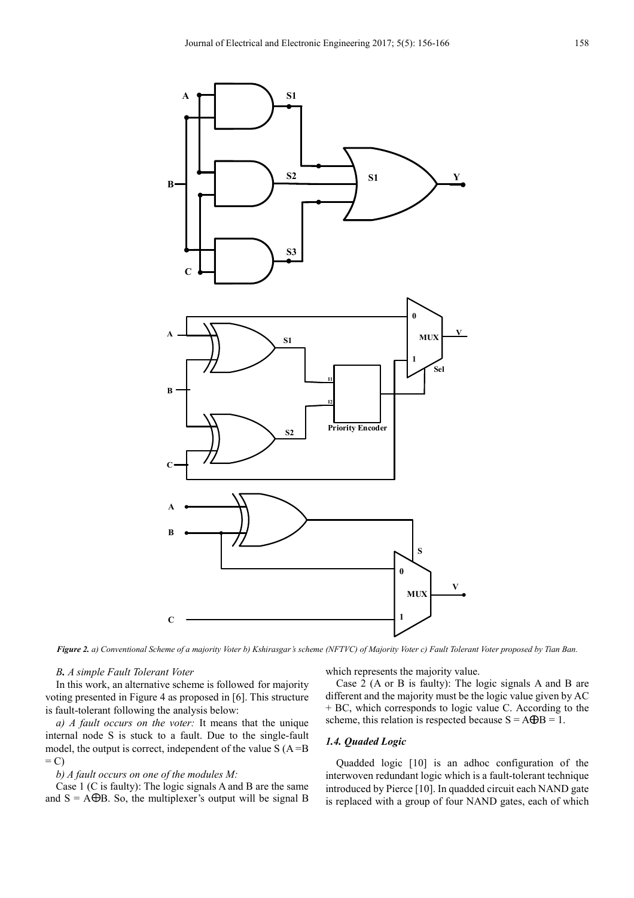

*Figure 2. a) Conventional Scheme of a majority Voter b) Kshirasgar's scheme (NFTVC) of Majority Voter c) Fault Tolerant Voter proposed by Tian Ban.* 

#### *B. A simple Fault Tolerant Voter*

In this work, an alternative scheme is followed for majority voting presented in Figure 4 as proposed in [6]. This structure is fault-tolerant following the analysis below:

*a) A fault occurs on the voter:* It means that the unique internal node S is stuck to a fault. Due to the single-fault model, the output is correct, independent of the value  $S(A = B)$  $= C$ 

#### *b) A fault occurs on one of the modules M:*

Case 1 (C is faulty): The logic signals A and B are the same and  $S = A \oplus B$ . So, the multiplexer's output will be signal B which represents the majority value.

Case 2 (A or B is faulty): The logic signals A and B are different and the majority must be the logic value given by AC + BC, which corresponds to logic value C. According to the scheme, this relation is respected because  $S = A \oplus B = 1$ .

#### *1.4. Quaded Logic*

Quadded logic [10] is an adhoc configuration of the interwoven redundant logic which is a fault-tolerant technique introduced by Pierce [10]. In quadded circuit each NAND gate is replaced with a group of four NAND gates, each of which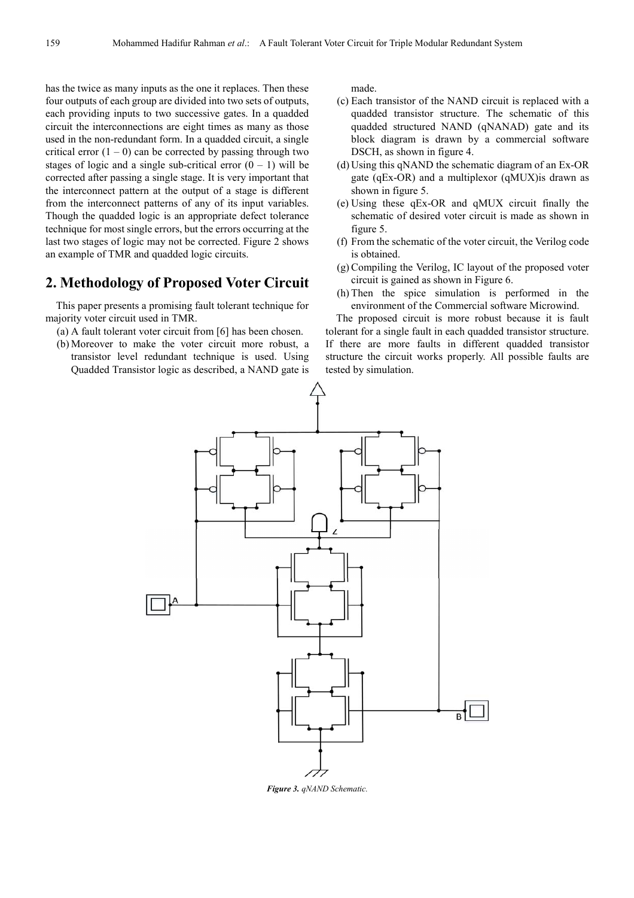has the twice as many inputs as the one it replaces. Then these four outputs of each group are divided into two sets of outputs, each providing inputs to two successive gates. In a quadded circuit the interconnections are eight times as many as those used in the non-redundant form. In a quadded circuit, a single critical error  $(1 - 0)$  can be corrected by passing through two stages of logic and a single sub-critical error  $(0 - 1)$  will be corrected after passing a single stage. It is very important that the interconnect pattern at the output of a stage is different from the interconnect patterns of any of its input variables. Though the quadded logic is an appropriate defect tolerance technique for most single errors, but the errors occurring at the last two stages of logic may not be corrected. Figure 2 shows an example of TMR and quadded logic circuits.

### **2. Methodology of Proposed Voter Circuit**

This paper presents a promising fault tolerant technique for majority voter circuit used in TMR.

- (a) A fault tolerant voter circuit from [6] has been chosen.
- (b) Moreover to make the voter circuit more robust, a transistor level redundant technique is used. Using Quadded Transistor logic as described, a NAND gate is

made.

- (c) Each transistor of the NAND circuit is replaced with a quadded transistor structure. The schematic of this quadded structured NAND (qNANAD) gate and its block diagram is drawn by a commercial software DSCH, as shown in figure 4.
- (d) Using this qNAND the schematic diagram of an Ex-OR gate (qEx-OR) and a multiplexor (qMUX)is drawn as shown in figure 5.
- (e) Using these qEx-OR and qMUX circuit finally the schematic of desired voter circuit is made as shown in figure 5.
- (f) From the schematic of the voter circuit, the Verilog code is obtained.
- (g) Compiling the Verilog, IC layout of the proposed voter circuit is gained as shown in Figure 6.
- (h) Then the spice simulation is performed in the environment of the Commercial software Microwind.

The proposed circuit is more robust because it is fault tolerant for a single fault in each quadded transistor structure. If there are more faults in different quadded transistor structure the circuit works properly. All possible faults are tested by simulation.



*Figure 3. qNAND Schematic.*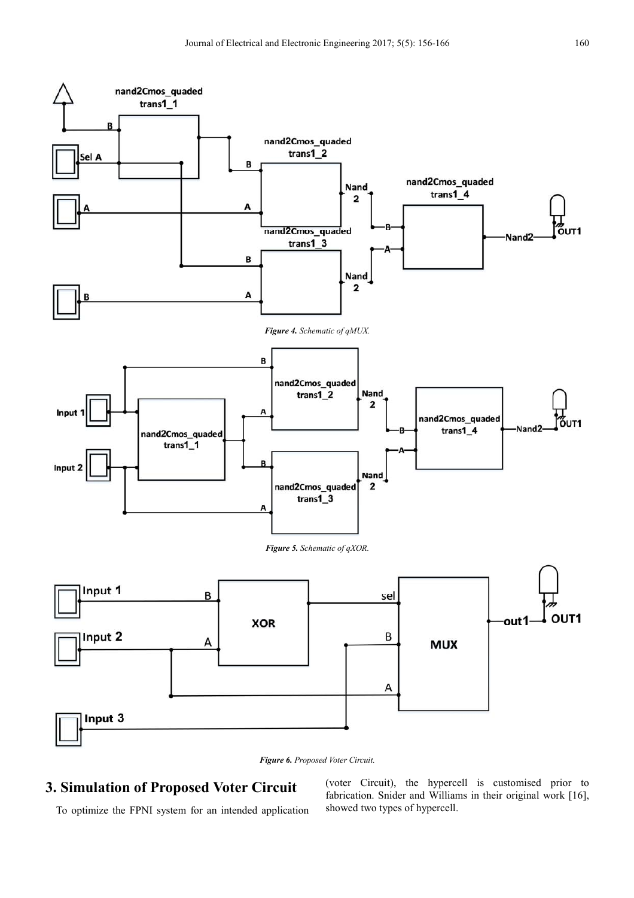

# **3. Simulation of Proposed Voter Circuit**

To optimize the FPNI system for an intended application

(voter Circuit), the hypercell is customised prior to fabrication. Snider and Williams in their original work [16], showed two types of hypercell.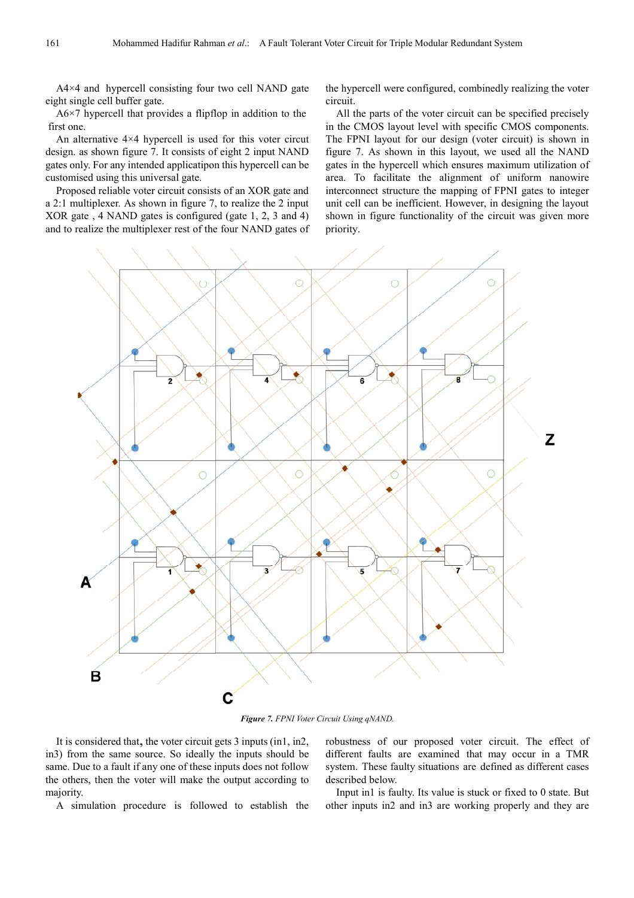$A4\times4$  and hypercell consisting four two cell NAND gate eight single cell buffer gate.

A6×7 hypercell that provides a flipflop in addition to the first one.

An alternative 4×4 hypercell is used for this voter circut design. as shown figure 7. It consists of eight 2 input NAND gates only. For any intended applicatipon this hypercell can be customised using this universal gate.

Proposed reliable voter circuit consists of an XOR gate and a 2:1 multiplexer. As shown in figure 7, to realize the 2 input XOR gate , 4 NAND gates is configured (gate 1, 2, 3 and 4) and to realize the multiplexer rest of the four NAND gates of the hypercell were configured, combinedly realizing the voter circuit.

All the parts of the voter circuit can be specified precisely in the CMOS layout level with specific CMOS components. The FPNI layout for our design (voter circuit) is shown in figure 7. As shown in this layout, we used all the NAND gates in the hypercell which ensures maximum utilization of area. To facilitate the alignment of uniform nanowire interconnect structure the mapping of FPNI gates to integer unit cell can be inefficient. However, in designing the layout shown in figure functionality of the circuit was given more priority.



*Figure 7. FPNI Voter Circuit Using qNAND.* 

It is considered that, the voter circuit gets 3 inputs (in1, in2, in3) from the same source. So ideally the inputs should be same. Due to a fault if any one of these inputs does not follow the others, then the voter will make the output according to majority.

A simulation procedure is followed to establish the

robustness of our proposed voter circuit. The effect of different faults are examined that may occur in a TMR system. These faulty situations are defined as different cases described below.

Input in1 is faulty. Its value is stuck or fixed to 0 state. But other inputs in2 and in3 are working properly and they are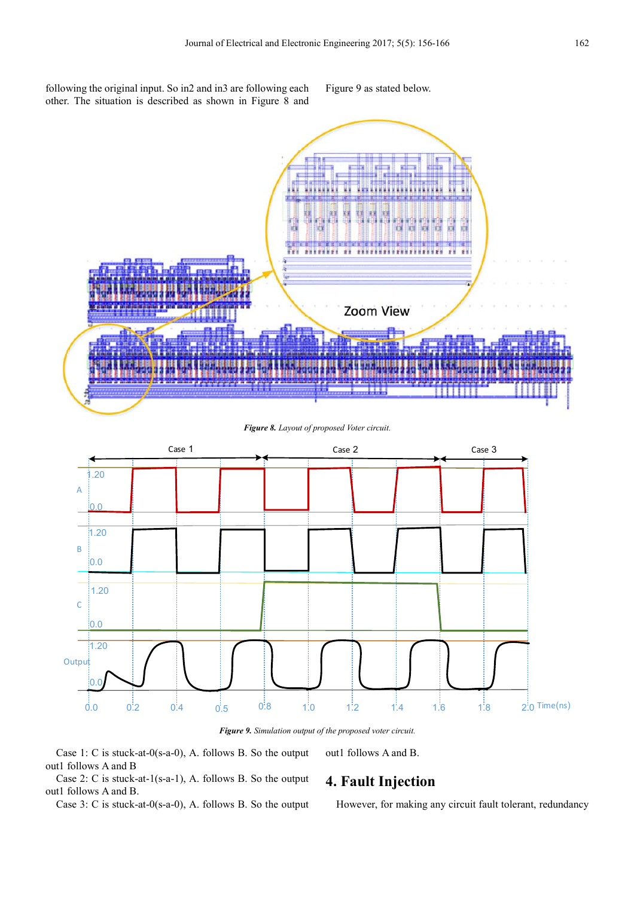following the original input. So in2 and in3 are following each other. The situation is described as shown in Figure 8 and Figure 9 as stated below.



#### *Figure 8. Layout of proposed Voter circuit.*



*Figure 9. Simulation output of the proposed voter circuit.* 

Case 1: C is stuck-at-0(s-a-0), A. follows B. So the output out1 follows A and B

out1 follows A and B.

Case 2: C is stuck-at-1(s-a-1), A. follows B. So the output out1 follows A and B.

Case 3: C is stuck-at-0(s-a-0), A. follows B. So the output

# **4. Fault Injection**

However, for making any circuit fault tolerant, redundancy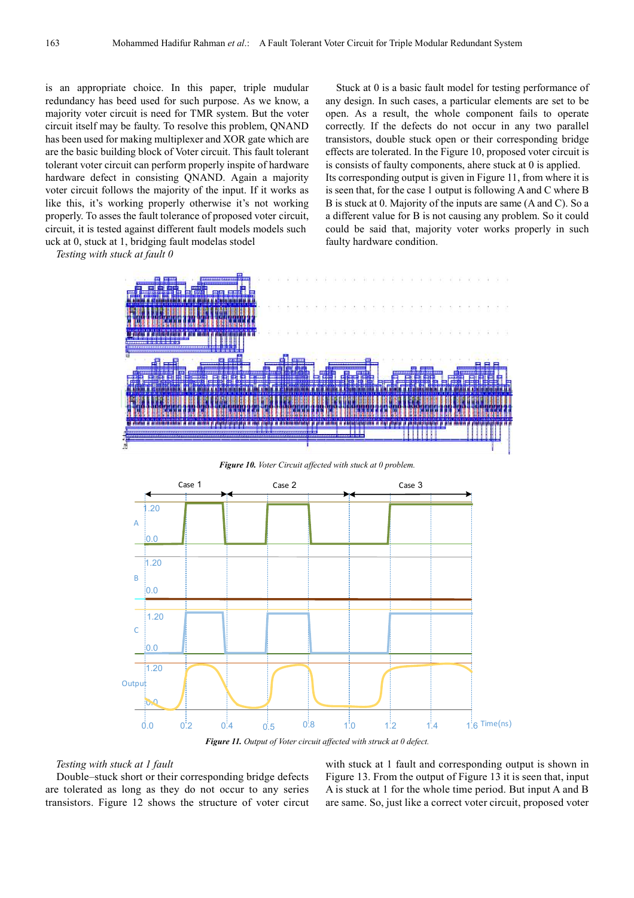is an appropriate choice. In this paper, triple mudular redundancy has beed used for such purpose. As we know, a majority voter circuit is need for TMR system. But the voter circuit itself may be faulty. To resolve this problem, QNAND has been used for making multiplexer and XOR gate which are are the basic building block of Voter circuit. This fault tolerant tolerant voter circuit can perform properly inspite of hardware hardware defect in consisting QNAND. Again a majority voter circuit follows the majority of the input. If it works as like this, it's working properly otherwise it's not working properly. To asses the fault tolerance of proposed voter circuit, circuit, it is tested against different fault models models such uck at  $0$ , stuck at  $1$ , bridging fault model as stodel

*Testing with stuck at fault 0* 

Stuck at 0 is a basic fault model for testing performance of any design. In such cases, a particular elements are set to be open. As a result, the whole component fails to operate correctly. If the defects do not occur in any two parallel transistors, double stuck open or their corresponding bridge effects are tolerated. In the Figure 10, proposed voter circuit is is consists of faulty components, ahere stuck at 0 is applied. Its corresponding output is given in Figure 11, from where it is is seen that, for the case 1 output is following A and C where B B is stuck at 0. Majority of the inputs are same (A and C). So a a different value for B is not causing any problem. So it could could be said that, majority voter works properly in such faulty hardware condition.



*Figure 10. Voter Circuit affected with stuck at 0 problem.* 



*Figure 11. Output of Voter circuit affected with struck at 0 defect.* 

#### *Testing with stuck at 1 fault*

Double–stuck short or their corresponding bridge defects are tolerated as long as they do not occur to any series transistors. Figure 12 shows the structure of voter circut with stuck at 1 fault and corresponding output is shown in Figure 13. From the output of Figure 13 it is seen that, input A is stuck at 1 for the whole time period. But input A and B are same. So, just like a correct voter circuit, proposed voter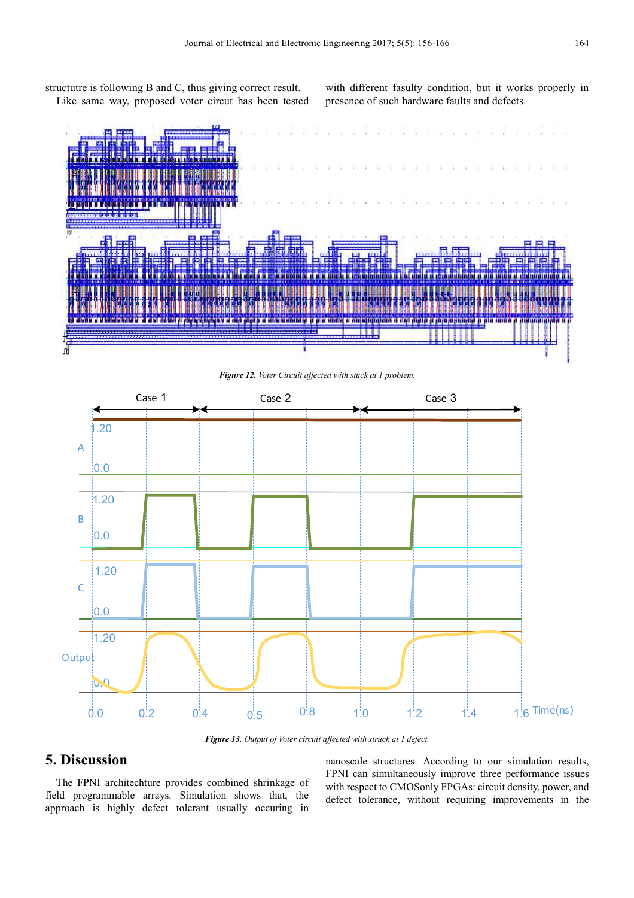structutre is following B and C, thus giving correct result. Like same way, proposed voter circut has been tested with different fasulty condition, but it works properly in presence of such hardware faults and defects.



*Figure 12. Voter Circuit affected with stuck at 1 problem.* 



*Figure 13. Output of Voter circuit affected with struck at 1 defect.* 

# **5. Discussion**

The FPNI architechture provides combined shrinkage of field programmable arrays. Simulation shows that, the approach is highly defect tolerant usually occuring in nanoscale structures. According to our simulation results, FPNI can simultaneously improve three performance issues with respect to CMOSonly FPGAs: circuit density, power, and defect tolerance, without requiring improvements in the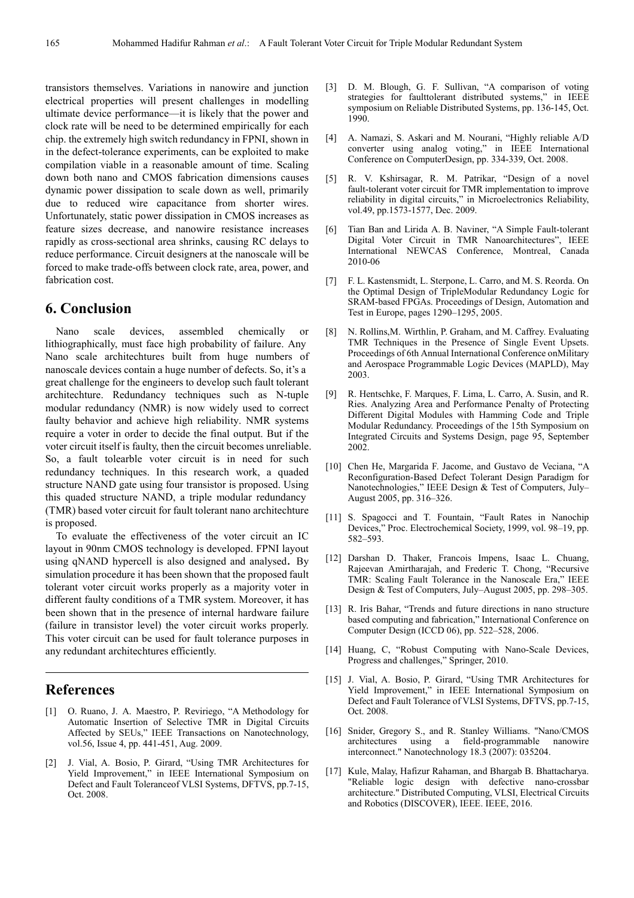transistors themselves. Variations in nanowire and junction electrical properties will present challenges in modelling ultimate device performance—it is likely that the power and clock rate will be need to be determined empirically for each chip. the extremely high switch redundancy in FPNI, shown in in the defect-tolerance experiments, can be exploited to make compilation viable in a reasonable amount of time. Scaling down both nano and CMOS fabrication dimensions causes dynamic power dissipation to scale down as well, primarily due to reduced wire capacitance from shorter wires. Unfortunately, static power dissipation in CMOS increases as feature sizes decrease, and nanowire resistance increases rapidly as cross-sectional area shrinks, causing RC delays to reduce performance. Circuit designers at the nanoscale will be forced to make trade-offs between clock rate, area, power, and fabrication cost.

### **6. Conclusion**

Nano scale devices, assembled chemically or lithiographically, must face high probability of failure. Any Nano scale architechtures built from huge numbers of nanoscale devices contain a huge number of defects. So, it's a great challenge for the engineers to develop such fault tolerant architechture. Redundancy techniques such as N-tuple modular redundancy (NMR) is now widely used to correct faulty behavior and achieve high reliability. NMR systems require a voter in order to decide the final output. But if the voter circuit itself is faulty, then the circuit becomes unreliable. So, a fault tolearble voter circuit is in need for such redundancy techniques. In this research work, a quaded structure NAND gate using four transistor is proposed. Using this quaded structure NAND, a triple modular redundancy (TMR) based voter circuit for fault tolerant nano architechture is proposed.

To evaluate the effectiveness of the voter circuit an IC layout in 90nm CMOS technology is developed. FPNI layout using qNAND hypercell is also designed and analysed. By simulation procedure it has been shown that the proposed fault tolerant voter circuit works properly as a majority voter in different faulty conditions of a TMR system. Moreover, it has been shown that in the presence of internal hardware failure (failure in transistor level) the voter circuit works properly. This voter circuit can be used for fault tolerance purposes in any redundant architechtures efficiently.

### **References**

- [1] O. Ruano, J. A. Maestro, P. Reviriego, "A Methodology for Automatic Insertion of Selective TMR in Digital Circuits Affected by SEUs," IEEE Transactions on Nanotechnology, vol.56, Issue 4, pp. 441-451, Aug. 2009.
- [2] J. Vial, A. Bosio, P. Girard, "Using TMR Architectures for Yield Improvement," in IEEE International Symposium on Defect and Fault Toleranceof VLSI Systems, DFTVS, pp.7-15, Oct. 2008.
- [3] D. M. Blough, G. F. Sullivan, "A comparison of voting strategies for faulttolerant distributed systems," in IEEE symposium on Reliable Distributed Systems, pp. 136-145, Oct. 1990.
- [4] A. Namazi, S. Askari and M. Nourani, "Highly reliable A/D converter using analog voting," in IEEE International Conference on ComputerDesign, pp. 334-339, Oct. 2008.
- [5] R. V. Kshirsagar, R. M. Patrikar, "Design of a novel fault-tolerant voter circuit for TMR implementation to improve reliability in digital circuits," in Microelectronics Reliability, vol.49, pp.1573-1577, Dec. 2009.
- [6] Tian Ban and Lirida A. B. Naviner, "A Simple Fault-tolerant Digital Voter Circuit in TMR Nanoarchitectures", IEEE International NEWCAS Conference, Montreal, Canada 2010-06
- [7] F. L. Kastensmidt, L. Sterpone, L. Carro, and M. S. Reorda. On the Optimal Design of TripleModular Redundancy Logic for SRAM-based FPGAs. Proceedings of Design, Automation and Test in Europe, pages 1290–1295, 2005.
- [8] N. Rollins,M. Wirthlin, P. Graham, and M. Caffrey. Evaluating TMR Techniques in the Presence of Single Event Upsets. Proceedings of 6th Annual International Conference onMilitary and Aerospace Programmable Logic Devices (MAPLD), May 2003.
- [9] R. Hentschke, F. Marques, F. Lima, L. Carro, A. Susin, and R. Ries. Analyzing Area and Performance Penalty of Protecting Different Digital Modules with Hamming Code and Triple Modular Redundancy. Proceedings of the 15th Symposium on Integrated Circuits and Systems Design, page 95, September 2002.
- [10] Chen He, Margarida F. Jacome, and Gustavo de Veciana, "A Reconfiguration-Based Defect Tolerant Design Paradigm for Nanotechnologies," IEEE Design & Test of Computers, July– August 2005, pp. 316–326.
- [11] S. Spagocci and T. Fountain, "Fault Rates in Nanochip Devices," Proc. Electrochemical Society, 1999, vol. 98–19, pp. 582–593.
- [12] Darshan D. Thaker, Francois Impens, Isaac L. Chuang, Rajeevan Amirtharajah, and Frederic T. Chong, "Recursive TMR: Scaling Fault Tolerance in the Nanoscale Era," IEEE Design & Test of Computers, July–August 2005, pp. 298–305.
- [13] R. Iris Bahar, "Trends and future directions in nano structure based computing and fabrication," International Conference on Computer Design (ICCD 06), pp. 522–528, 2006.
- [14] Huang, C, "Robust Computing with Nano-Scale Devices, Progress and challenges," Springer, 2010.
- [15] J. Vial, A. Bosio, P. Girard, "Using TMR Architectures for Yield Improvement," in IEEE International Symposium on Defect and Fault Tolerance of VLSI Systems, DFTVS, pp.7-15, Oct. 2008.
- [16] Snider, Gregory S., and R. Stanley Williams. "Nano/CMOS architectures using a field-programmable nanowire interconnect." Nanotechnology 18.3 (2007): 035204.
- [17] Kule, Malay, Hafizur Rahaman, and Bhargab B. Bhattacharya. "Reliable logic design with defective nano-crossbar architecture." Distributed Computing, VLSI, Electrical Circuits and Robotics (DISCOVER), IEEE. IEEE, 2016.